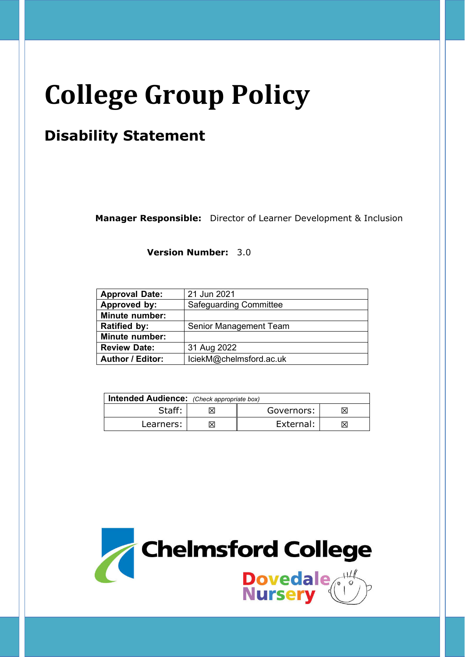# **College Group Policy**

# **Disability Statement**

**Manager Responsible:** Director of Learner Development & Inclusion

**Version Number:** 3.0

| <b>Approval Date:</b>   | 21 Jun 2021                   |  |
|-------------------------|-------------------------------|--|
| Approved by:            | <b>Safeguarding Committee</b> |  |
| <b>Minute number:</b>   |                               |  |
| <b>Ratified by:</b>     | Senior Management Team        |  |
| <b>Minute number:</b>   |                               |  |
| <b>Review Date:</b>     | 31 Aug 2022                   |  |
| <b>Author / Editor:</b> | lciekM@chelmsford.ac.uk       |  |

| <b>Intended Audience:</b> (Check appropriate box) |  |            |    |  |
|---------------------------------------------------|--|------------|----|--|
| Staff:                                            |  | Governors: |    |  |
| Learners:                                         |  | External:  | IХ |  |

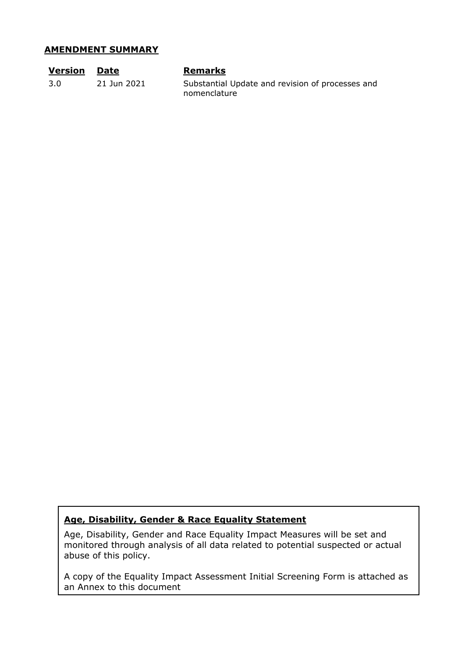#### **AMENDMENT SUMMARY**

| <b>Version</b> | Date        | <b>Remarks</b>                                                   |
|----------------|-------------|------------------------------------------------------------------|
| 3.0            | 21 Jun 2021 | Substantial Update and revision of processes and<br>nomenclature |

# **Age, Disability, Gender & Race Equality Statement**

Age, Disability, Gender and Race Equality Impact Measures will be set and monitored through analysis of all data related to potential suspected or actual abuse of this policy.

A copy of the Equality Impact Assessment Initial Screening Form is attached as an Annex to this document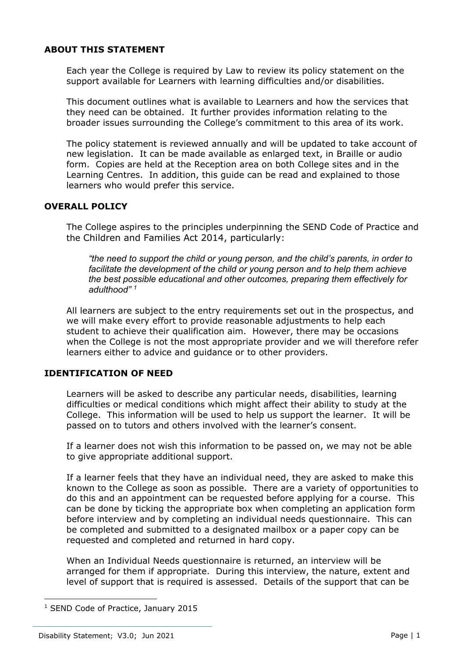# **ABOUT THIS STATEMENT**

Each year the College is required by Law to review its policy statement on the support available for Learners with learning difficulties and/or disabilities.

This document outlines what is available to Learners and how the services that they need can be obtained. It further provides information relating to the broader issues surrounding the College's commitment to this area of its work.

The policy statement is reviewed annually and will be updated to take account of new legislation. It can be made available as enlarged text, in Braille or audio form. Copies are held at the Reception area on both College sites and in the Learning Centres. In addition, this guide can be read and explained to those learners who would prefer this service.

# **OVERALL POLICY**

The College aspires to the principles underpinning the SEND Code of Practice and the Children and Families Act 2014, particularly:

*"the need to support the child or young person, and the child's parents, in order to facilitate the development of the child or young person and to help them achieve the best possible educational and other outcomes, preparing them effectively for adulthood" 1*

All learners are subject to the entry requirements set out in the prospectus, and we will make every effort to provide reasonable adjustments to help each student to achieve their qualification aim. However, there may be occasions when the College is not the most appropriate provider and we will therefore refer learners either to advice and guidance or to other providers.

# **IDENTIFICATION OF NEED**

Learners will be asked to describe any particular needs, disabilities, learning difficulties or medical conditions which might affect their ability to study at the College. This information will be used to help us support the learner. It will be passed on to tutors and others involved with the learner's consent.

If a learner does not wish this information to be passed on, we may not be able to give appropriate additional support.

If a learner feels that they have an individual need, they are asked to make this known to the College as soon as possible. There are a variety of opportunities to do this and an appointment can be requested before applying for a course. This can be done by ticking the appropriate box when completing an application form before interview and by completing an individual needs questionnaire. This can be completed and submitted to a designated mailbox or a paper copy can be requested and completed and returned in hard copy.

When an Individual Needs questionnaire is returned, an interview will be arranged for them if appropriate. During this interview, the nature, extent and level of support that is required is assessed. Details of the support that can be

<sup>&</sup>lt;sup>1</sup> SEND Code of Practice, January 2015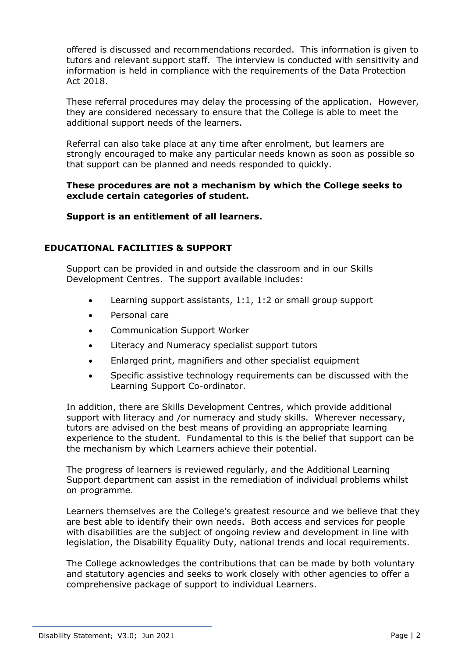offered is discussed and recommendations recorded. This information is given to tutors and relevant support staff. The interview is conducted with sensitivity and information is held in compliance with the requirements of the Data Protection Act 2018.

These referral procedures may delay the processing of the application. However, they are considered necessary to ensure that the College is able to meet the additional support needs of the learners.

Referral can also take place at any time after enrolment, but learners are strongly encouraged to make any particular needs known as soon as possible so that support can be planned and needs responded to quickly.

# **These procedures are not a mechanism by which the College seeks to exclude certain categories of student.**

**Support is an entitlement of all learners.** 

# **EDUCATIONAL FACILITIES & SUPPORT**

Support can be provided in and outside the classroom and in our Skills Development Centres. The support available includes:

- Learning support assistants, 1:1, 1:2 or small group support
- Personal care
- Communication Support Worker
- Literacy and Numeracy specialist support tutors
- Enlarged print, magnifiers and other specialist equipment
- Specific assistive technology requirements can be discussed with the Learning Support Co-ordinator.

In addition, there are Skills Development Centres, which provide additional support with literacy and /or numeracy and study skills. Wherever necessary, tutors are advised on the best means of providing an appropriate learning experience to the student. Fundamental to this is the belief that support can be the mechanism by which Learners achieve their potential.

The progress of learners is reviewed regularly, and the Additional Learning Support department can assist in the remediation of individual problems whilst on programme.

Learners themselves are the College's greatest resource and we believe that they are best able to identify their own needs. Both access and services for people with disabilities are the subject of ongoing review and development in line with legislation, the Disability Equality Duty, national trends and local requirements.

The College acknowledges the contributions that can be made by both voluntary and statutory agencies and seeks to work closely with other agencies to offer a comprehensive package of support to individual Learners.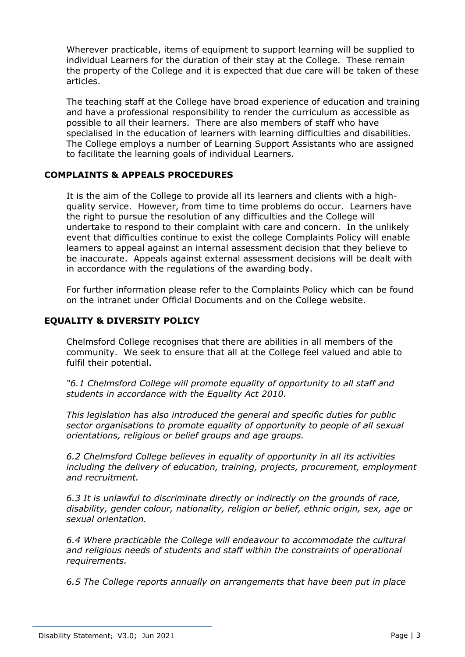Wherever practicable, items of equipment to support learning will be supplied to individual Learners for the duration of their stay at the College. These remain the property of the College and it is expected that due care will be taken of these articles.

The teaching staff at the College have broad experience of education and training and have a professional responsibility to render the curriculum as accessible as possible to all their learners. There are also members of staff who have specialised in the education of learners with learning difficulties and disabilities. The College employs a number of Learning Support Assistants who are assigned to facilitate the learning goals of individual Learners.

# **COMPLAINTS & APPEALS PROCEDURES**

It is the aim of the College to provide all its learners and clients with a highquality service. However, from time to time problems do occur. Learners have the right to pursue the resolution of any difficulties and the College will undertake to respond to their complaint with care and concern. In the unlikely event that difficulties continue to exist the college Complaints Policy will enable learners to appeal against an internal assessment decision that they believe to be inaccurate. Appeals against external assessment decisions will be dealt with in accordance with the regulations of the awarding body.

For further information please refer to the Complaints Policy which can be found on the intranet under Official Documents and on the College website.

# **EQUALITY & DIVERSITY POLICY**

Chelmsford College recognises that there are abilities in all members of the community. We seek to ensure that all at the College feel valued and able to fulfil their potential.

*"6.1 Chelmsford College will promote equality of opportunity to all staff and students in accordance with the Equality Act 2010.* 

*This legislation has also introduced the general and specific duties for public sector organisations to promote equality of opportunity to people of all sexual orientations, religious or belief groups and age groups.* 

*6.2 Chelmsford College believes in equality of opportunity in all its activities including the delivery of education, training, projects, procurement, employment and recruitment.* 

*6.3 It is unlawful to discriminate directly or indirectly on the grounds of race, disability, gender colour, nationality, religion or belief, ethnic origin, sex, age or sexual orientation.* 

*6.4 Where practicable the College will endeavour to accommodate the cultural and religious needs of students and staff within the constraints of operational requirements.* 

*6.5 The College reports annually on arrangements that have been put in place*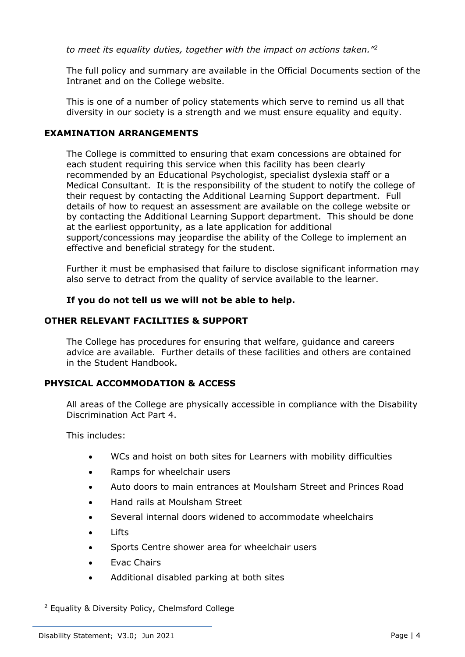*to meet its equality duties, together with the impact on actions taken."2*

The full policy and summary are available in the Official Documents section of the Intranet and on the College website.

This is one of a number of policy statements which serve to remind us all that diversity in our society is a strength and we must ensure equality and equity.

# **EXAMINATION ARRANGEMENTS**

The College is committed to ensuring that exam concessions are obtained for each student requiring this service when this facility has been clearly recommended by an Educational Psychologist, specialist dyslexia staff or a Medical Consultant. It is the responsibility of the student to notify the college of their request by contacting the Additional Learning Support department. Full details of how to request an assessment are available on the college website or by contacting the Additional Learning Support department. This should be done at the earliest opportunity, as a late application for additional support/concessions may jeopardise the ability of the College to implement an effective and beneficial strategy for the student.

Further it must be emphasised that failure to disclose significant information may also serve to detract from the quality of service available to the learner.

#### **If you do not tell us we will not be able to help.**

#### **OTHER RELEVANT FACILITIES & SUPPORT**

The College has procedures for ensuring that welfare, guidance and careers advice are available. Further details of these facilities and others are contained in the Student Handbook.

# **PHYSICAL ACCOMMODATION & ACCESS**

All areas of the College are physically accessible in compliance with the Disability Discrimination Act Part 4.

This includes:

- WCs and hoist on both sites for Learners with mobility difficulties
- Ramps for wheelchair users
- Auto doors to main entrances at Moulsham Street and Princes Road
- Hand rails at Moulsham Street
- Several internal doors widened to accommodate wheelchairs
- Lifts
- Sports Centre shower area for wheelchair users
- Evac Chairs
- Additional disabled parking at both sites

<sup>2</sup> Equality & Diversity Policy, Chelmsford College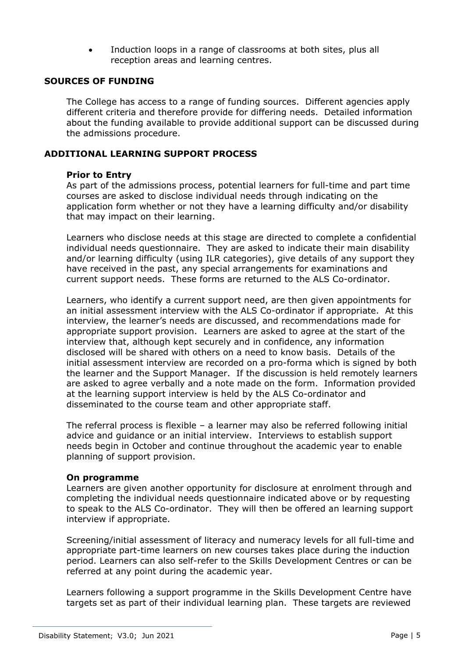Induction loops in a range of classrooms at both sites, plus all reception areas and learning centres.

#### **SOURCES OF FUNDING**

The College has access to a range of funding sources. Different agencies apply different criteria and therefore provide for differing needs. Detailed information about the funding available to provide additional support can be discussed during the admissions procedure.

#### **ADDITIONAL LEARNING SUPPORT PROCESS**

#### **Prior to Entry**

As part of the admissions process, potential learners for full-time and part time courses are asked to disclose individual needs through indicating on the application form whether or not they have a learning difficulty and/or disability that may impact on their learning.

Learners who disclose needs at this stage are directed to complete a confidential individual needs questionnaire. They are asked to indicate their main disability and/or learning difficulty (using ILR categories), give details of any support they have received in the past, any special arrangements for examinations and current support needs. These forms are returned to the ALS Co-ordinator.

Learners, who identify a current support need, are then given appointments for an initial assessment interview with the ALS Co-ordinator if appropriate. At this interview, the learner's needs are discussed, and recommendations made for appropriate support provision. Learners are asked to agree at the start of the interview that, although kept securely and in confidence, any information disclosed will be shared with others on a need to know basis. Details of the initial assessment interview are recorded on a pro-forma which is signed by both the learner and the Support Manager. If the discussion is held remotely learners are asked to agree verbally and a note made on the form. Information provided at the learning support interview is held by the ALS Co-ordinator and disseminated to the course team and other appropriate staff.

The referral process is flexible – a learner may also be referred following initial advice and guidance or an initial interview. Interviews to establish support needs begin in October and continue throughout the academic year to enable planning of support provision.

#### **On programme**

Learners are given another opportunity for disclosure at enrolment through and completing the individual needs questionnaire indicated above or by requesting to speak to the ALS Co-ordinator. They will then be offered an learning support interview if appropriate.

Screening/initial assessment of literacy and numeracy levels for all full-time and appropriate part-time learners on new courses takes place during the induction period. Learners can also self-refer to the Skills Development Centres or can be referred at any point during the academic year.

Learners following a support programme in the Skills Development Centre have targets set as part of their individual learning plan. These targets are reviewed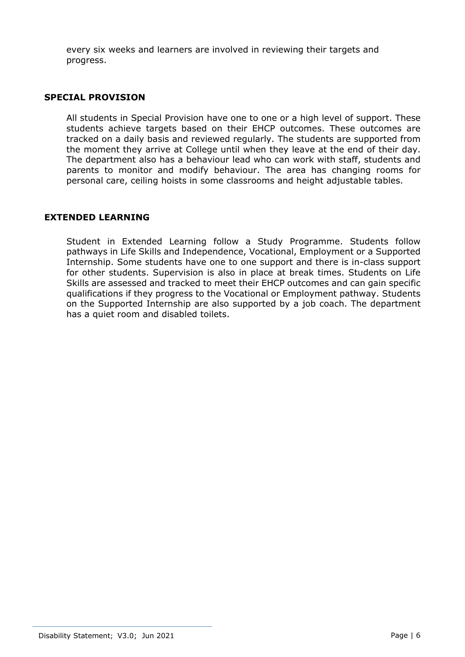every six weeks and learners are involved in reviewing their targets and progress.

#### **SPECIAL PROVISION**

All students in Special Provision have one to one or a high level of support. These students achieve targets based on their EHCP outcomes. These outcomes are tracked on a daily basis and reviewed regularly. The students are supported from the moment they arrive at College until when they leave at the end of their day. The department also has a behaviour lead who can work with staff, students and parents to monitor and modify behaviour. The area has changing rooms for personal care, ceiling hoists in some classrooms and height adjustable tables.

#### **EXTENDED LEARNING**

Student in Extended Learning follow a Study Programme. Students follow pathways in Life Skills and Independence, Vocational, Employment or a Supported Internship. Some students have one to one support and there is in-class support for other students. Supervision is also in place at break times. Students on Life Skills are assessed and tracked to meet their EHCP outcomes and can gain specific qualifications if they progress to the Vocational or Employment pathway. Students on the Supported Internship are also supported by a job coach. The department has a quiet room and disabled toilets.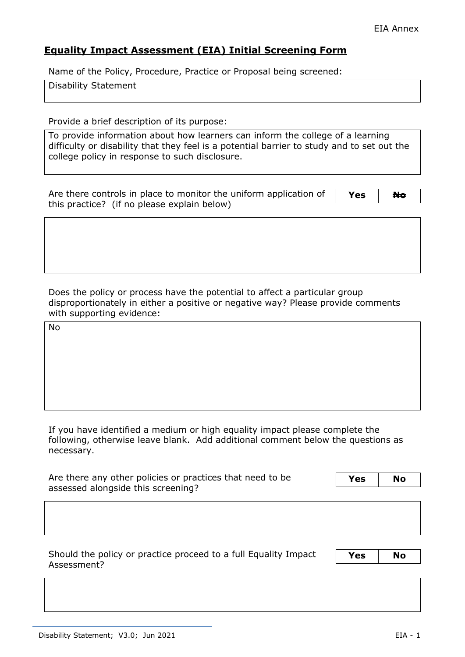# **Equality Impact Assessment (EIA) Initial Screening Form**

Name of the Policy, Procedure, Practice or Proposal being screened:

Disability Statement

Provide a brief description of its purpose:

To provide information about how learners can inform the college of a learning difficulty or disability that they feel is a potential barrier to study and to set out the college policy in response to such disclosure.

Are there controls in place to monitor the uniform application of this practice? (if no please explain below)

Yes N<del>o</del>

Does the policy or process have the potential to affect a particular group disproportionately in either a positive or negative way? Please provide comments with supporting evidence:

No

If you have identified a medium or high equality impact please complete the following, otherwise leave blank. Add additional comment below the questions as necessary.

| Are there any other policies or practices that need to be |  | <b>No</b> |
|-----------------------------------------------------------|--|-----------|
| assessed alongside this screening?                        |  |           |

Should the policy or practice proceed to a full Equality Impact Assessment?

**Yes No**